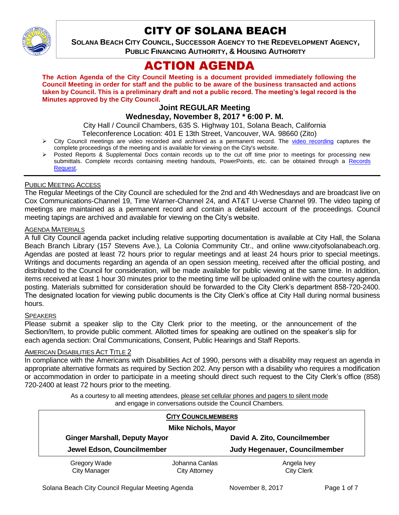

# CITY OF SOLANA BEACH

**SOLANA BEACH CITY COUNCIL, SUCCESSOR AGENCY TO THE REDEVELOPMENT AGENCY, PUBLIC FINANCING AUTHORITY, & HOUSING AUTHORITY** 

# ACTION AGENDA

**The Action Agenda of the City Council Meeting is a document provided immediately following the Council Meeting in order for staff and the public to be aware of the business transacted and actions taken by Council. This is a preliminary draft and not a public record. The meeting's legal record is the Minutes approved by the City Council.**

# **Joint REGULAR Meeting**

## **Wednesday, November 8, 2017 \* 6:00 P. M.**

City Hall / Council Chambers, 635 S. Highway 101, Solana Beach, California Teleconference Location: 401 E 13th Street, Vancouver, WA. 98660 (Zito)

- $\triangleright$  City Council meetings are video recorded and archived as a permanent record. The [video recording](https://solanabeach.12milesout.com/video/meeting/c7f392b7-2ebe-4790-8623-ac6e05216612) captures the complete proceedings of the meeting and is available for viewing on the City's website.
- Posted Reports & Supplemental Docs contain records up to the cut off time prior to meetings for processing new submittals. Complete records containing meeting handouts, PowerPoints, etc. can be obtained through a Records [Request.](http://www.ci.solana-beach.ca.us/index.asp?SEC=F5D45D10-70CE-4291-A27C-7BD633FC6742&Type=B_BASIC)

#### PUBLIC MEETING ACCESS

The Regular Meetings of the City Council are scheduled for the 2nd and 4th Wednesdays and are broadcast live on Cox Communications-Channel 19, Time Warner-Channel 24, and AT&T U-verse Channel 99. The video taping of meetings are maintained as a permanent record and contain a detailed account of the proceedings. Council meeting tapings are archived and available for viewing on the City's website.

## **AGENDA MATERIALS**

A full City Council agenda packet including relative supporting documentation is available at City Hall, the Solana Beach Branch Library (157 Stevens Ave.), La Colonia Community Ctr., and online www.cityofsolanabeach.org. Agendas are posted at least 72 hours prior to regular meetings and at least 24 hours prior to special meetings. Writings and documents regarding an agenda of an open session meeting, received after the official posting, and distributed to the Council for consideration, will be made available for public viewing at the same time. In addition, items received at least 1 hour 30 minutes prior to the meeting time will be uploaded online with the courtesy agenda posting. Materials submitted for consideration should be forwarded to the City Clerk's department 858-720-2400. The designated location for viewing public documents is the City Clerk's office at City Hall during normal business hours.

#### **SPEAKERS**

Please submit a speaker slip to the City Clerk prior to the meeting, or the announcement of the Section/Item, to provide public comment. Allotted times for speaking are outlined on the speaker's slip for each agenda section: Oral Communications, Consent, Public Hearings and Staff Reports.

#### AMERICAN DISABILITIES ACT TITLE 2

In compliance with the Americans with Disabilities Act of 1990, persons with a disability may request an agenda in appropriate alternative formats as required by Section 202. Any person with a disability who requires a modification or accommodation in order to participate in a meeting should direct such request to the City Clerk's office (858) 720-2400 at least 72 hours prior to the meeting.

> As a courtesy to all meeting attendees, please set cellular phones and pagers to silent mode and engage in conversations outside the Council Chambers.

| <b>CITY COUNCILMEMBERS</b><br><b>Mike Nichols, Mayor</b> |                      |                               |
|----------------------------------------------------------|----------------------|-------------------------------|
| <b>Ginger Marshall, Deputy Mayor</b>                     |                      | David A. Zito, Councilmember  |
| Jewel Edson, Councilmember                               |                      | Judy Hegenauer, Councilmember |
| Gregory Wade                                             | Johanna Canlas       | Angela Ivey                   |
| <b>City Manager</b>                                      | <b>City Attorney</b> | <b>City Clerk</b>             |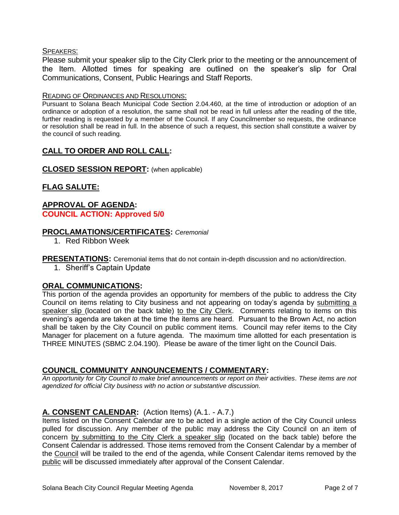## SPEAKERS:

Please submit your speaker slip to the City Clerk prior to the meeting or the announcement of the Item. Allotted times for speaking are outlined on the speaker's slip for Oral Communications, Consent, Public Hearings and Staff Reports.

#### READING OF ORDINANCES AND RESOLUTIONS:

Pursuant to Solana Beach Municipal Code Section 2.04.460, at the time of introduction or adoption of an ordinance or adoption of a resolution, the same shall not be read in full unless after the reading of the title, further reading is requested by a member of the Council. If any Councilmember so requests, the ordinance or resolution shall be read in full. In the absence of such a request, this section shall constitute a waiver by the council of such reading.

## **CALL TO ORDER AND ROLL CALL:**

## **CLOSED SESSION REPORT:** (when applicable)

# **FLAG SALUTE:**

## **APPROVAL OF AGENDA: COUNCIL ACTION: Approved 5/0**

## **PROCLAMATIONS/CERTIFICATES:** *Ceremonial*

1. Red Ribbon Week

**PRESENTATIONS:** Ceremonial items that do not contain in-depth discussion and no action/direction.

1. Sheriff's Captain Update

## **ORAL COMMUNICATIONS:**

This portion of the agenda provides an opportunity for members of the public to address the City Council on items relating to City business and not appearing on today's agenda by submitting a speaker slip (located on the back table) to the City Clerk. Comments relating to items on this evening's agenda are taken at the time the items are heard. Pursuant to the Brown Act, no action shall be taken by the City Council on public comment items. Council may refer items to the City Manager for placement on a future agenda. The maximum time allotted for each presentation is THREE MINUTES (SBMC 2.04.190). Please be aware of the timer light on the Council Dais.

## **COUNCIL COMMUNITY ANNOUNCEMENTS / COMMENTARY:**

*An opportunity for City Council to make brief announcements or report on their activities. These items are not agendized for official City business with no action or substantive discussion.* 

## **A. CONSENT CALENDAR:** (Action Items) (A.1. - A.7.)

Items listed on the Consent Calendar are to be acted in a single action of the City Council unless pulled for discussion. Any member of the public may address the City Council on an item of concern by submitting to the City Clerk a speaker slip (located on the back table) before the Consent Calendar is addressed. Those items removed from the Consent Calendar by a member of the Council will be trailed to the end of the agenda, while Consent Calendar items removed by the public will be discussed immediately after approval of the Consent Calendar.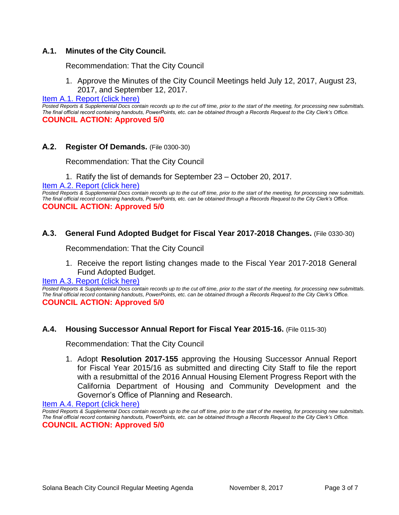## **A.1. Minutes of the City Council.**

Recommendation: That the City Council

1. Approve the Minutes of the City Council Meetings held July 12, 2017, August 23, 2017, and September 12, 2017.

#### [Item A.1. Report \(click here\)](https://solanabeach.govoffice3.com/vertical/Sites/%7B840804C2-F869-4904-9AE3-720581350CE7%7D/uploads/Item_A.1._Report_(click_here)_-_11-08-17.PDF)

Posted Reports & Supplemental Docs contain records up to the cut off time, prior to the start of the meeting, for processing new submittals. *The final official record containing handouts, PowerPoints, etc. can be obtained through a Records Request to the City Clerk's Office.* **COUNCIL ACTION: Approved 5/0**

## **A.2. Register Of Demands.** (File 0300-30)

Recommendation: That the City Council

- 1. Ratify the list of demands for September 23 October 20, 2017.
- [Item A.2. Report \(click here\)](https://solanabeach.govoffice3.com/vertical/Sites/%7B840804C2-F869-4904-9AE3-720581350CE7%7D/uploads/Item_A.2._Report_(click_here)_-_11-08-17.PDF)

*Posted Reports & Supplemental Docs contain records up to the cut off time, prior to the start of the meeting, for processing new submittals. The final official record containing handouts, PowerPoints, etc. can be obtained through a Records Request to the City Clerk's Office.* **COUNCIL ACTION: Approved 5/0**

## **A.3. General Fund Adopted Budget for Fiscal Year 2017-2018 Changes.** (File 0330-30)

Recommendation: That the City Council

1. Receive the report listing changes made to the Fiscal Year 2017-2018 General Fund Adopted Budget.

[Item A.3. Report \(click here\)](https://solanabeach.govoffice3.com/vertical/Sites/%7B840804C2-F869-4904-9AE3-720581350CE7%7D/uploads/Item_A.3._Report_(click_here)_-_11-08-17.PDF)

*Posted Reports & Supplemental Docs contain records up to the cut off time, prior to the start of the meeting, for processing new submittals. The final official record containing handouts, PowerPoints, etc. can be obtained through a Records Request to the City Clerk's Office.* **COUNCIL ACTION: Approved 5/0**

#### **A.4. Housing Successor Annual Report for Fiscal Year 2015-16.** (File 0115-30)

Recommendation: That the City Council

1. Adopt **Resolution 2017-155** approving the Housing Successor Annual Report for Fiscal Year 2015/16 as submitted and directing City Staff to file the report with a resubmittal of the 2016 Annual Housing Element Progress Report with the California Department of Housing and Community Development and the Governor's Office of Planning and Research.

[Item A.4. Report \(click here\)](https://solanabeach.govoffice3.com/vertical/Sites/%7B840804C2-F869-4904-9AE3-720581350CE7%7D/uploads/Item_A.4._Report_(click_here)_-_11-08-17.PDF)

*Posted Reports & Supplemental Docs contain records up to the cut off time, prior to the start of the meeting, for processing new submittals. The final official record containing handouts, PowerPoints, etc. can be obtained through a Records Request to the City Clerk's Office.* **COUNCIL ACTION: Approved 5/0**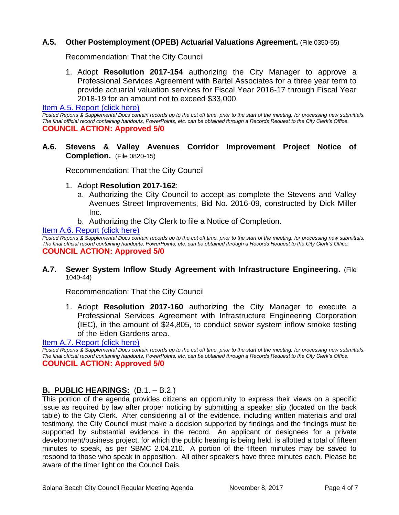## **A.5. Other Postemployment (OPEB) Actuarial Valuations Agreement.** (File 0350-55)

Recommendation: That the City Council

1. Adopt **Resolution 2017-154** authorizing the City Manager to approve a Professional Services Agreement with Bartel Associates for a three year term to provide actuarial valuation services for Fiscal Year 2016-17 through Fiscal Year 2018-19 for an amount not to exceed \$33,000.

[Item A.5. Report \(click here\)](https://solanabeach.govoffice3.com/vertical/Sites/%7B840804C2-F869-4904-9AE3-720581350CE7%7D/uploads/Item_A.5._Report_(click_here)_-_11-08-17.PDF)

*Posted Reports & Supplemental Docs contain records up to the cut off time, prior to the start of the meeting, for processing new submittals. The final official record containing handouts, PowerPoints, etc. can be obtained through a Records Request to the City Clerk's Office.* **COUNCIL ACTION: Approved 5/0**

**A.6. Stevens & Valley Avenues Corridor Improvement Project Notice of Completion.** (File 0820-15)

Recommendation: That the City Council

- 1. Adopt **Resolution 2017-162**:
	- a. Authorizing the City Council to accept as complete the Stevens and Valley Avenues Street Improvements, Bid No. 2016-09, constructed by Dick Miller Inc.
	- b. Authorizing the City Clerk to file a Notice of Completion.

[Item A.6. Report \(click here\)](https://solanabeach.govoffice3.com/vertical/Sites/%7B840804C2-F869-4904-9AE3-720581350CE7%7D/uploads/Item_A.6._Report_(click_here)_-_11-08-17.PDF)

*Posted Reports & Supplemental Docs contain records up to the cut off time, prior to the start of the meeting, for processing new submittals. The final official record containing handouts, PowerPoints, etc. can be obtained through a Records Request to the City Clerk's Office.* **COUNCIL ACTION: Approved 5/0**

#### **A.7. Sewer System Inflow Study Agreement with Infrastructure Engineering.** (File 1040-44)

Recommendation: That the City Council

1. Adopt **Resolution 2017-160** authorizing the City Manager to execute a Professional Services Agreement with Infrastructure Engineering Corporation (IEC), in the amount of \$24,805, to conduct sewer system inflow smoke testing of the Eden Gardens area.

[Item A.7. Report \(click here\)](https://solanabeach.govoffice3.com/vertical/Sites/%7B840804C2-F869-4904-9AE3-720581350CE7%7D/uploads/Item_A.7._Report_(click_here)_-_11-08-17.PDF)

Posted Reports & Supplemental Docs contain records up to the cut off time, prior to the start of the meeting, for processing new submittals. *The final official record containing handouts, PowerPoints, etc. can be obtained through a Records Request to the City Clerk's Office.* **COUNCIL ACTION: Approved 5/0**

## **B. PUBLIC HEARINGS:** (B.1. – B.2.)

This portion of the agenda provides citizens an opportunity to express their views on a specific issue as required by law after proper noticing by submitting a speaker slip (located on the back table) to the City Clerk. After considering all of the evidence, including written materials and oral testimony, the City Council must make a decision supported by findings and the findings must be supported by substantial evidence in the record. An applicant or designees for a private development/business project, for which the public hearing is being held, is allotted a total of fifteen minutes to speak, as per SBMC 2.04.210. A portion of the fifteen minutes may be saved to respond to those who speak in opposition. All other speakers have three minutes each. Please be aware of the timer light on the Council Dais.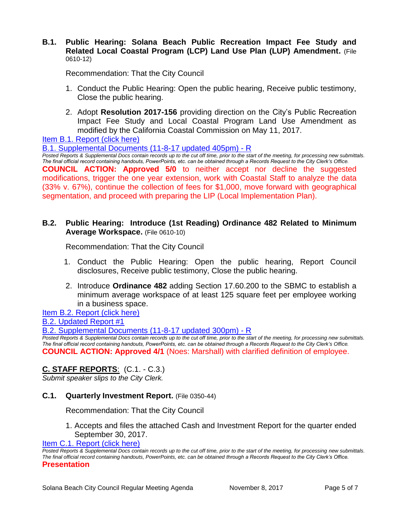## **B.1. Public Hearing: Solana Beach Public Recreation Impact Fee Study and Related Local Coastal Program (LCP) Land Use Plan (LUP) Amendment.** (File 0610-12)

Recommendation: That the City Council

- 1. Conduct the Public Hearing: Open the public hearing, Receive public testimony, Close the public hearing.
- 2. Adopt **Resolution 2017-156** providing direction on the City's Public Recreation Impact Fee Study and Local Coastal Program Land Use Amendment as modified by the California Coastal Commission on May 11, 2017.

[Item B.1. Report \(click here\)](https://solanabeach.govoffice3.com/vertical/Sites/%7B840804C2-F869-4904-9AE3-720581350CE7%7D/uploads/Item_B.1._Report_(click_here)_-_11-08-2017_-_R.pdf) 

[B.1. Supplemental Documents \(11-8-17](https://solanabeach.govoffice3.com/vertical/Sites/%7B840804C2-F869-4904-9AE3-720581350CE7%7D/uploads/B.1._Supplemental_Documents_(11-8-17_updated_405pm).pdf) updated 405pm) - R

*Posted Reports & Supplemental Docs contain records up to the cut off time, prior to the start of the meeting, for processing new submittals. The final official record containing handouts, PowerPoints, etc. can be obtained through a Records Request to the City Clerk's Office.* **COUNCIL ACTION: Approved 5/0** to neither accept nor decline the suggested modifications, trigger the one year extension, work with Coastal Staff to analyze the data (33% v. 67%), continue the collection of fees for \$1,000, move forward with geographical segmentation, and proceed with preparing the LIP (Local Implementation Plan).

## **B.2. Public Hearing: Introduce (1st Reading) Ordinance 482 Related to Minimum Average Workspace.** (File 0610-10)

Recommendation: That the City Council

- 1. Conduct the Public Hearing: Open the public hearing, Report Council disclosures, Receive public testimony, Close the public hearing.
- 2. Introduce **Ordinance 482** adding Section 17.60.200 to the SBMC to establish a minimum average workspace of at least 125 square feet per employee working in a business space.

[Item B.2. Report \(click here\)](https://solanabeach.govoffice3.com/vertical/Sites/%7B840804C2-F869-4904-9AE3-720581350CE7%7D/uploads/Item_B.2._Report_(click_here)_-_11-08-17.PDF) 

[B.2. Updated Report #1](https://solanabeach.govoffice3.com/vertical/Sites/%7B840804C2-F869-4904-9AE3-720581350CE7%7D/uploads/B.2._Updated_Report_1_-_11-8-17.pdf)

[B.2. Supplemental Documents \(11-8-17](https://solanabeach.govoffice3.com/vertical/Sites/%7B840804C2-F869-4904-9AE3-720581350CE7%7D/uploads/B.2._Supplemental_Documents_(11-8-17_updated_300pm)_-_R.pdf) updated 300pm) - R

*Posted Reports & Supplemental Docs contain records up to the cut off time, prior to the start of the meeting, for processing new submittals. The final official record containing handouts, PowerPoints, etc. can be obtained through a Records Request to the City Clerk's Office.* **COUNCIL ACTION: Approved 4/1** (Noes: Marshall) with clarified definition of employee.

# **C. STAFF REPORTS**: (C.1. - C.3.)

*Submit speaker slips to the City Clerk.*

## **C.1. Quarterly Investment Report.** (File 0350-44)

Recommendation: That the City Council

1. Accepts and files the attached Cash and Investment Report for the quarter ended September 30, 2017.

[Item C.1. Report \(click here\)](https://solanabeach.govoffice3.com/vertical/Sites/%7B840804C2-F869-4904-9AE3-720581350CE7%7D/uploads/Item_C.1._Report_(click_here)_-_11-08-17.PDF)

*Posted Reports & Supplemental Docs contain records up to the cut off time, prior to the start of the meeting, for processing new submittals. The final official record containing handouts, PowerPoints, etc. can be obtained through a Records Request to the City Clerk's Office.* **Presentation**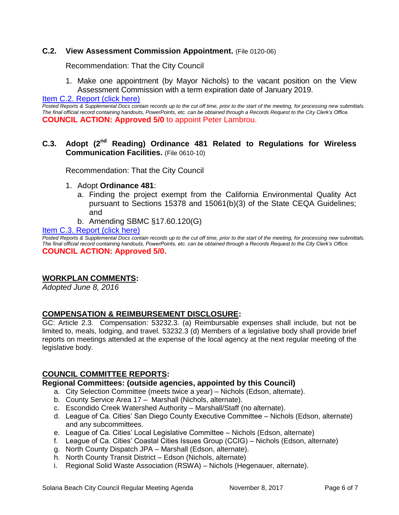## **C.2. View Assessment Commission Appointment.** (File 0120-06)

Recommendation: That the City Council

1. Make one appointment (by Mayor Nichols) to the vacant position on the View Assessment Commission with a term expiration date of January 2019.

[Item C.2. Report \(click here\)](https://solanabeach.govoffice3.com/vertical/Sites/%7B840804C2-F869-4904-9AE3-720581350CE7%7D/uploads/Item_C.2._Report_(click_here)_-_11-08-17.PDF)

*Posted Reports & Supplemental Docs contain records up to the cut off time, prior to the start of the meeting, for processing new submittals. The final official record containing handouts, PowerPoints, etc. can be obtained through a Records Request to the City Clerk's Office.* **COUNCIL ACTION: Approved 5/0** to appoint Peter Lambrou.

## **C.3. Adopt (2nd Reading) Ordinance 481 Related to Regulations for Wireless Communication Facilities.** (File 0610-10)

Recommendation: That the City Council

- 1. Adopt **Ordinance 481**:
	- a. Finding the project exempt from the California Environmental Quality Act pursuant to Sections 15378 and 15061(b)(3) of the State CEQA Guidelines; and
	- b. Amending SBMC §17.60.120(G)

[Item C.3. Report \(click here\)](https://solanabeach.govoffice3.com/vertical/Sites/%7B840804C2-F869-4904-9AE3-720581350CE7%7D/uploads/Item_C.3._Report_(click_here)_-_11-08-17.PDF)

*Posted Reports & Supplemental Docs contain records up to the cut off time, prior to the start of the meeting, for processing new submittals. The final official record containing handouts, PowerPoints, etc. can be obtained through a Records Request to the City Clerk's Office.* **COUNCIL ACTION: Approved 5/0.**

## **WORKPLAN COMMENTS:**

*Adopted June 8, 2016*

## **COMPENSATION & REIMBURSEMENT DISCLOSURE:**

GC: Article 2.3. Compensation: 53232.3. (a) Reimbursable expenses shall include, but not be limited to, meals, lodging, and travel. 53232.3 (d) Members of a legislative body shall provide brief reports on meetings attended at the expense of the local agency at the next regular meeting of the legislative body.

## **COUNCIL COMMITTEE REPORTS:**

#### **Regional Committees: (outside agencies, appointed by this Council)**

- a. City Selection Committee (meets twice a year) Nichols (Edson, alternate).
- b. County Service Area 17 Marshall (Nichols, alternate).
- c. Escondido Creek Watershed Authority Marshall/Staff (no alternate).
- d. League of Ca. Cities' San Diego County Executive Committee Nichols (Edson, alternate) and any subcommittees.
- e. League of Ca. Cities' Local Legislative Committee Nichols (Edson, alternate)
- f. League of Ca. Cities' Coastal Cities Issues Group (CCIG) Nichols (Edson, alternate)
- g. North County Dispatch JPA Marshall (Edson, alternate).
- h. North County Transit District Edson (Nichols, alternate)
- i. Regional Solid Waste Association (RSWA) Nichols (Hegenauer, alternate).